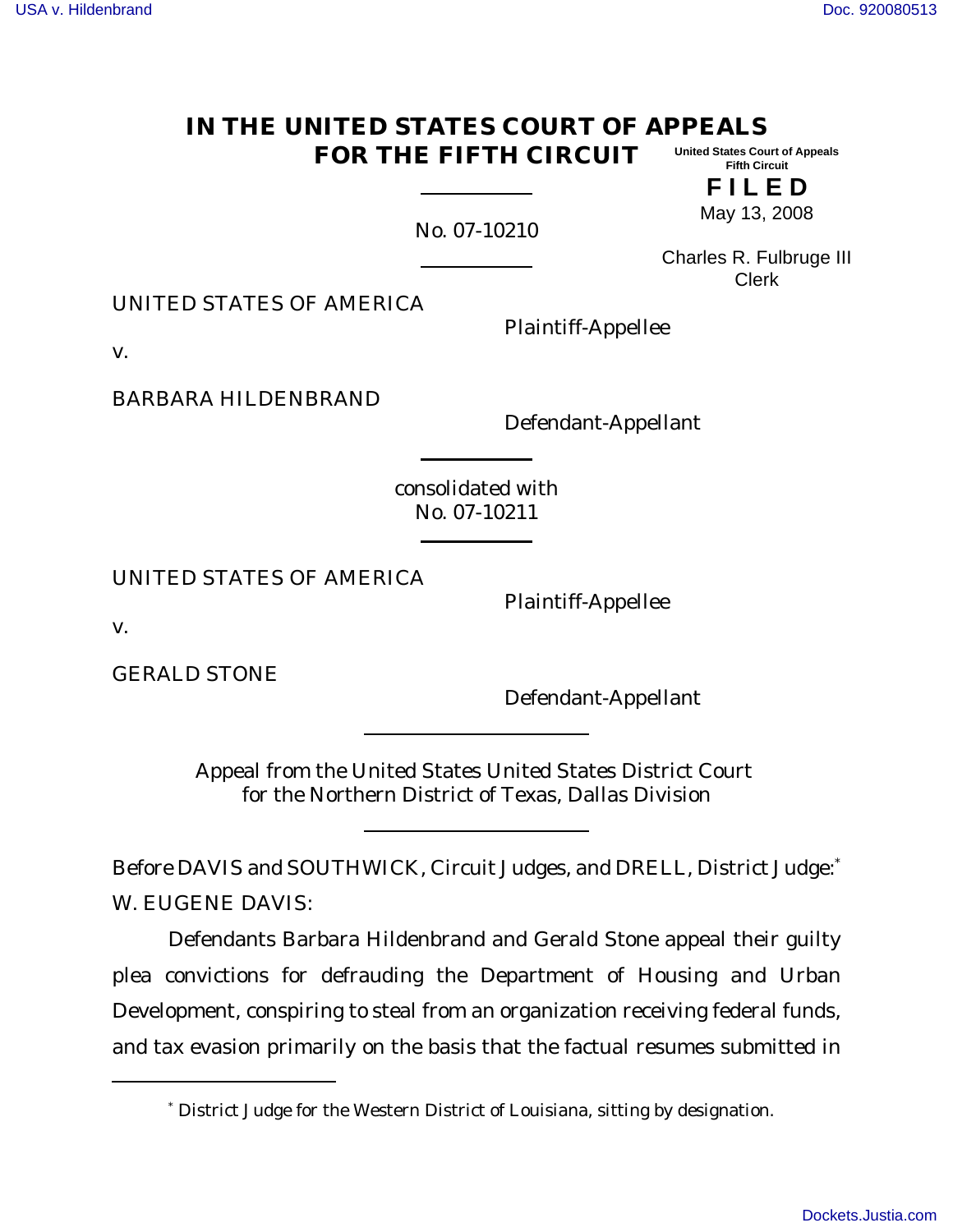#### **IN THE UNITED STATES COURT OF APPEALS FOR THE FIFTH CIRCUIT United States Court of Appeals Fifth Circuit**

**F I L E D** May 13, 2008

No. 07-10210

Charles R. Fulbruge III Clerk

UNITED STATES OF AMERICA

Plaintiff-Appellee

v.

BARBARA HILDENBRAND

Defendant-Appellant

consolidated with No. 07-10211

UNITED STATES OF AMERICA

Plaintiff-Appellee

v.

GERALD STONE

Defendant-Appellant

Appeal from the United States United States District Court for the Northern District of Texas, Dallas Division

Before DAVIS and SOUTHWICK, Circuit Judges, and DRELL, District Judge: W. EUGENE DAVIS:

Defendants Barbara Hildenbrand and Gerald Stone appeal their guilty plea convictions for defrauding the Department of Housing and Urban Development, conspiring to steal from an organization receiving federal funds, and tax evasion primarily on the basis that the factual resumes submitted in

<sup>\*</sup> District Judge for the Western District of Louisiana, sitting by designation.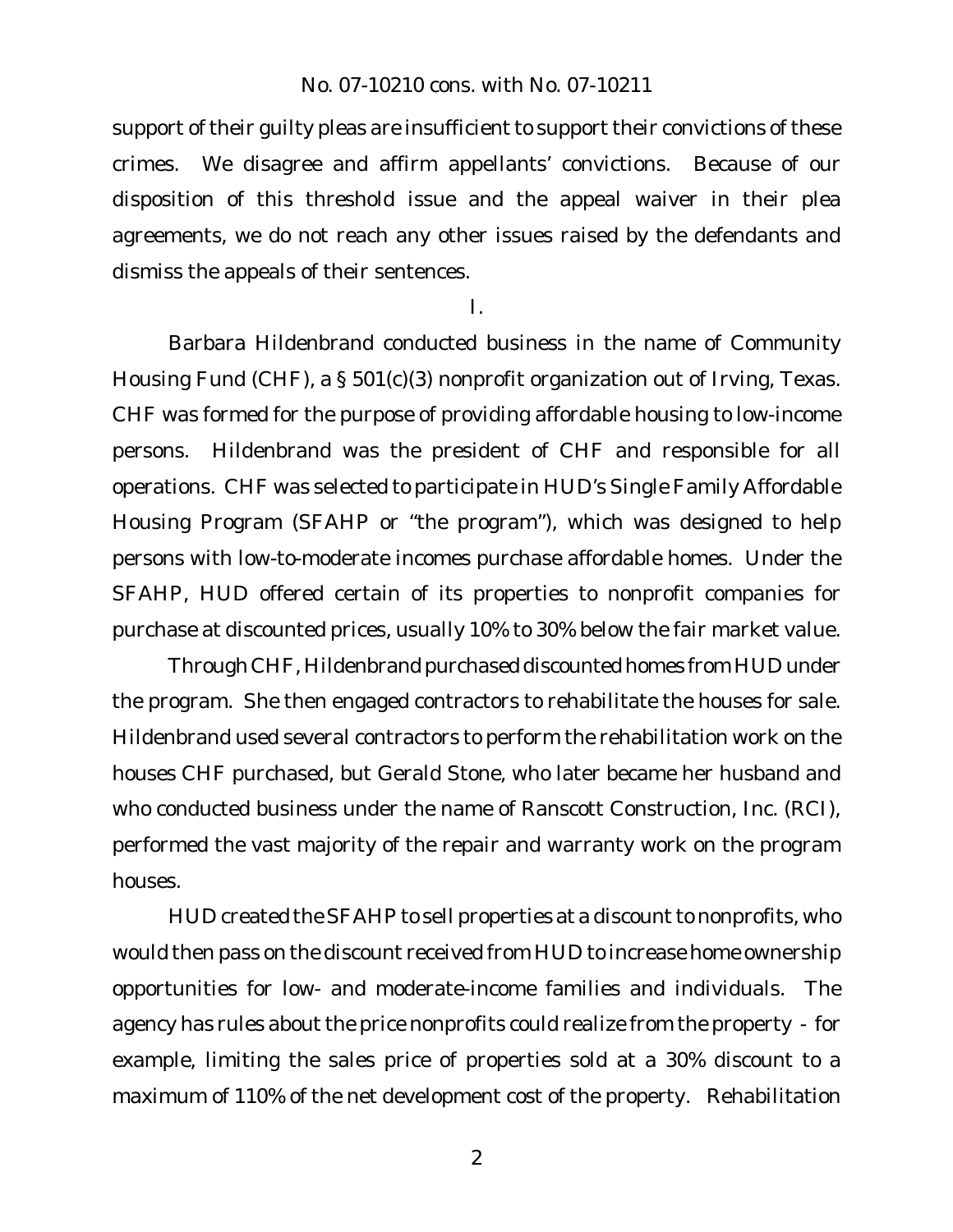support of their guilty pleas are insufficient to support their convictions of these crimes. We disagree and affirm appellants' convictions. Because of our disposition of this threshold issue and the appeal waiver in their plea agreements, we do not reach any other issues raised by the defendants and dismiss the appeals of their sentences.

I.

Barbara Hildenbrand conducted business in the name of Community Housing Fund (CHF), a § 501(c)(3) nonprofit organization out of Irving, Texas. CHF was formed for the purpose of providing affordable housing to low-income persons. Hildenbrand was the president of CHF and responsible for all operations. CHF was selected to participate in HUD's Single Family Affordable Housing Program (SFAHP or "the program"), which was designed to help persons with low-to-moderate incomes purchase affordable homes. Under the SFAHP, HUD offered certain of its properties to nonprofit companies for purchase at discounted prices, usually 10% to 30% below the fair market value.

Through CHF, Hildenbrand purchased discounted homes from HUD under the program. She then engaged contractors to rehabilitate the houses for sale. Hildenbrand used several contractors to perform the rehabilitation work on the houses CHF purchased, but Gerald Stone, who later became her husband and who conducted business under the name of Ranscott Construction, Inc. (RCI), performed the vast majority of the repair and warranty work on the program houses.

HUD created the SFAHP to sell properties at a discount to nonprofits, who would then pass on the discount received from HUD to increase home ownership opportunities for low- and moderate-income families and individuals. The agency has rules about the price nonprofits could realize from the property - for example, limiting the sales price of properties sold at a 30% discount to a maximum of 110% of the net development cost of the property. Rehabilitation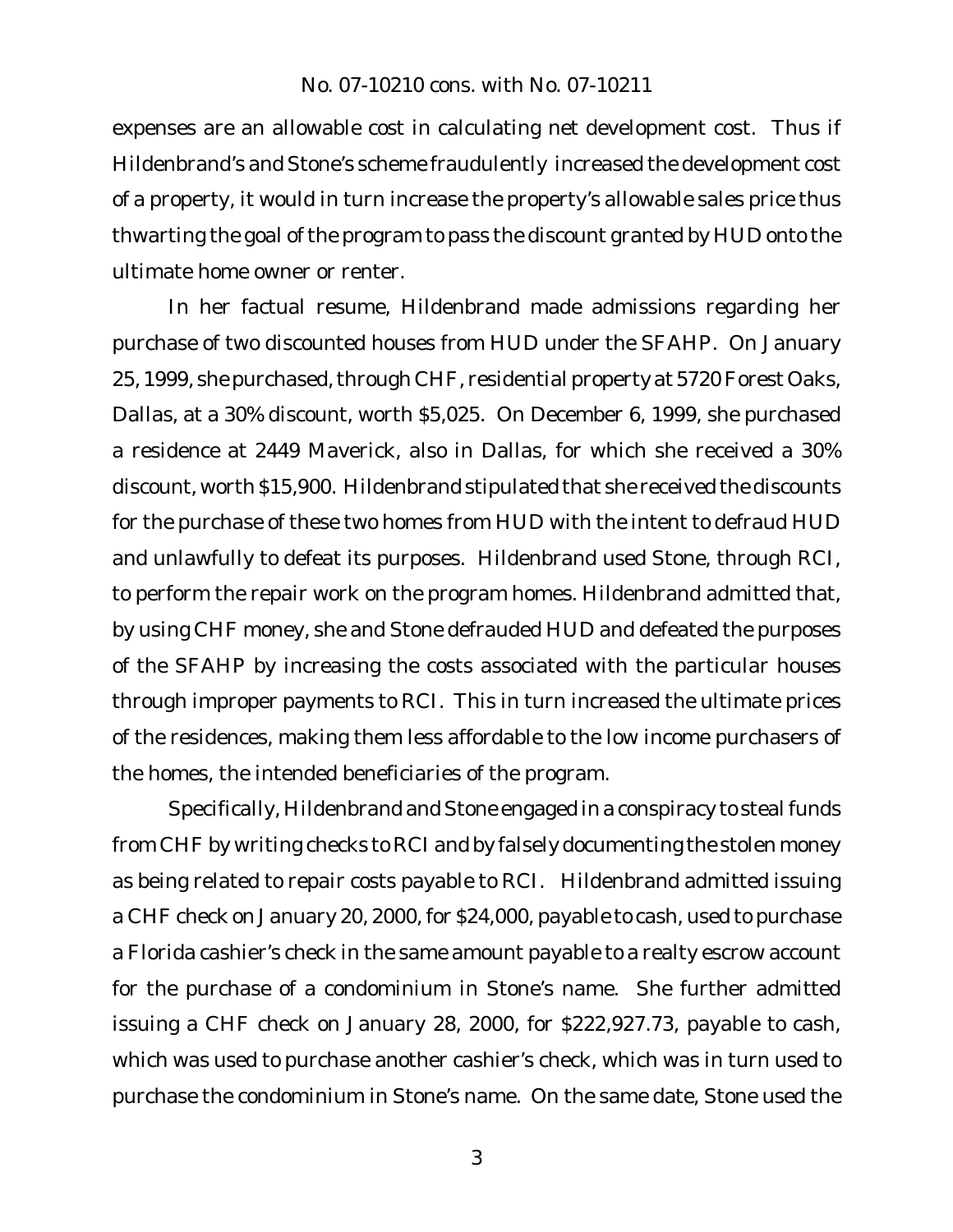expenses are an allowable cost in calculating net development cost. Thus if Hildenbrand's and Stone's scheme fraudulently increased the development cost of a property, it would in turn increase the property's allowable sales price thus thwarting the goal of the program to pass the discount granted by HUD onto the ultimate home owner or renter.

In her factual resume, Hildenbrand made admissions regarding her purchase of two discounted houses from HUD under the SFAHP. On January 25, 1999, she purchased, through CHF, residential property at 5720 Forest Oaks, Dallas, at a 30% discount, worth \$5,025. On December 6, 1999, she purchased a residence at 2449 Maverick, also in Dallas, for which she received a 30% discount, worth \$15,900. Hildenbrand stipulated that she received the discounts for the purchase of these two homes from HUD with the intent to defraud HUD and unlawfully to defeat its purposes. Hildenbrand used Stone, through RCI, to perform the repair work on the program homes. Hildenbrand admitted that, by using CHF money, she and Stone defrauded HUD and defeated the purposes of the SFAHP by increasing the costs associated with the particular houses through improper payments to RCI. This in turn increased the ultimate prices of the residences, making them less affordable to the low income purchasers of the homes, the intended beneficiaries of the program.

Specifically, Hildenbrand and Stone engaged in a conspiracy to steal funds from CHF by writing checks to RCI and by falsely documenting the stolen money as being related to repair costs payable to RCI. Hildenbrand admitted issuing a CHF check on January 20, 2000, for \$24,000, payable to cash, used to purchase a Florida cashier's check in the same amount payable to a realty escrow account for the purchase of a condominium in Stone's name. She further admitted issuing a CHF check on January 28, 2000, for \$222,927.73, payable to cash, which was used to purchase another cashier's check, which was in turn used to purchase the condominium in Stone's name. On the same date, Stone used the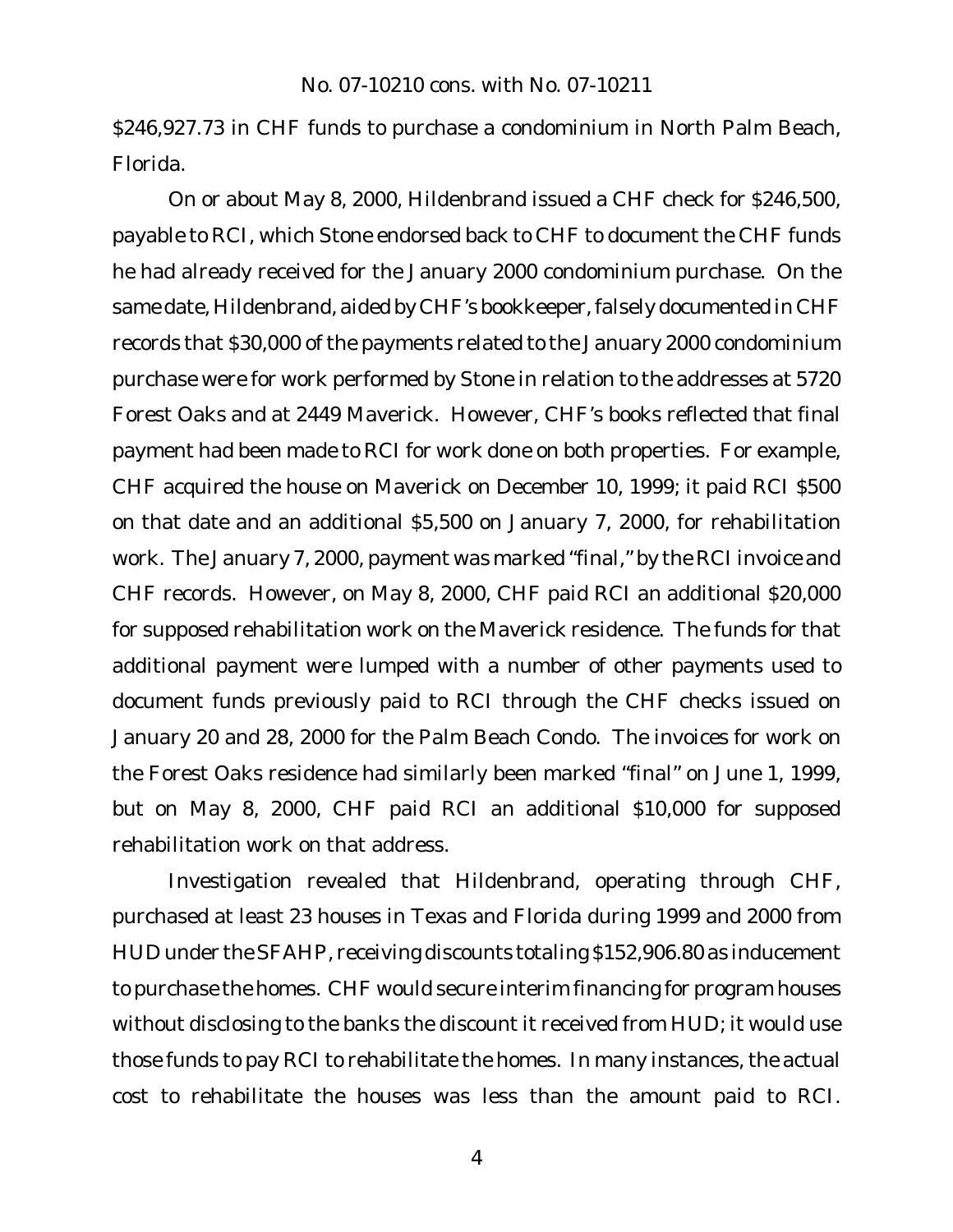\$246,927.73 in CHF funds to purchase a condominium in North Palm Beach, Florida.

On or about May 8, 2000, Hildenbrand issued a CHF check for \$246,500, payable to RCI, which Stone endorsed back to CHF to document the CHF funds he had already received for the January 2000 condominium purchase. On the same date, Hildenbrand, aided by CHF's bookkeeper, falsely documented in CHF records that \$30,000 of the payments related to the January 2000 condominium purchase were for work performed by Stone in relation to the addresses at 5720 Forest Oaks and at 2449 Maverick. However, CHF's books reflected that final payment had been made to RCI for work done on both properties. For example, CHF acquired the house on Maverick on December 10, 1999; it paid RCI \$500 on that date and an additional \$5,500 on January 7, 2000, for rehabilitation work. The January 7, 2000, payment was marked "final," by the RCI invoice and CHF records. However, on May 8, 2000, CHF paid RCI an additional \$20,000 for supposed rehabilitation work on the Maverick residence. The funds for that additional payment were lumped with a number of other payments used to document funds previously paid to RCI through the CHF checks issued on January 20 and 28, 2000 for the Palm Beach Condo. The invoices for work on the Forest Oaks residence had similarly been marked "final" on June 1, 1999, but on May 8, 2000, CHF paid RCI an additional \$10,000 for supposed rehabilitation work on that address.

Investigation revealed that Hildenbrand, operating through CHF, purchased at least 23 houses in Texas and Florida during 1999 and 2000 from HUD under the SFAHP, receiving discounts totaling \$152,906.80 as inducement to purchase the homes. CHF would secure interim financing for program houses without disclosing to the banks the discount it received from HUD; it would use those funds to pay RCI to rehabilitate the homes. In many instances, the actual cost to rehabilitate the houses was less than the amount paid to RCI.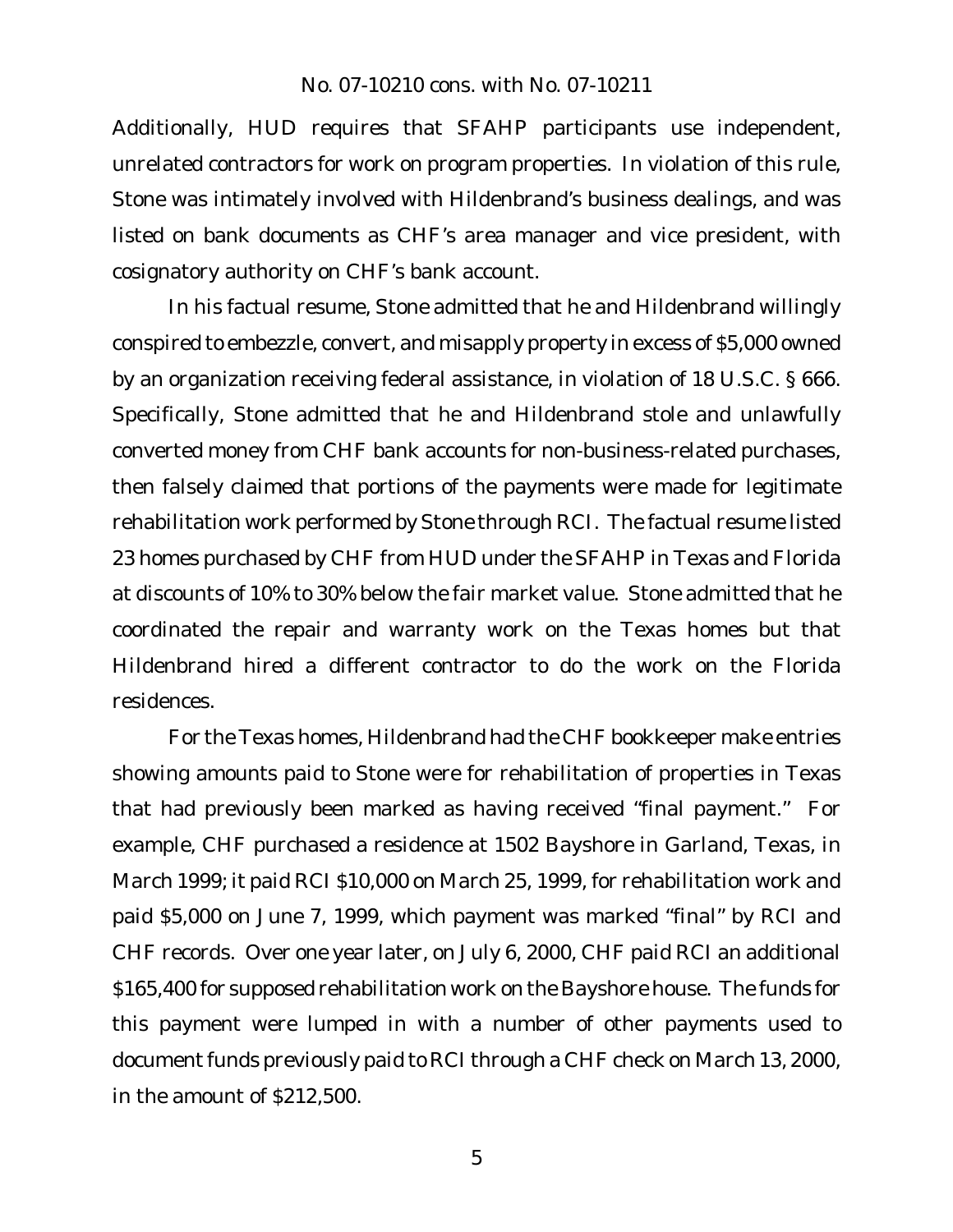Additionally, HUD requires that SFAHP participants use independent, unrelated contractors for work on program properties. In violation of this rule, Stone was intimately involved with Hildenbrand's business dealings, and was listed on bank documents as CHF's area manager and vice president, with cosignatory authority on CHF's bank account.

In his factual resume, Stone admitted that he and Hildenbrand willingly conspired to embezzle, convert, and misapply property in excess of \$5,000 owned by an organization receiving federal assistance, in violation of 18 U.S.C. § 666. Specifically, Stone admitted that he and Hildenbrand stole and unlawfully converted money from CHF bank accounts for non-business-related purchases, then falsely claimed that portions of the payments were made for legitimate rehabilitation work performed by Stone through RCI. The factual resume listed 23 homes purchased by CHF from HUD under the SFAHP in Texas and Florida at discounts of 10% to 30% below the fair market value. Stone admitted that he coordinated the repair and warranty work on the Texas homes but that Hildenbrand hired a different contractor to do the work on the Florida residences.

For the Texas homes, Hildenbrand had the CHF bookkeeper make entries showing amounts paid to Stone were for rehabilitation of properties in Texas that had previously been marked as having received "final payment." For example, CHF purchased a residence at 1502 Bayshore in Garland, Texas, in March 1999; it paid RCI \$10,000 on March 25, 1999, for rehabilitation work and paid \$5,000 on June 7, 1999, which payment was marked "final" by RCI and CHF records. Over one year later, on July 6, 2000, CHF paid RCI an additional \$165,400 for supposed rehabilitation work on the Bayshore house. The funds for this payment were lumped in with a number of other payments used to document funds previously paid to RCI through a CHF check on March 13, 2000, in the amount of \$212,500.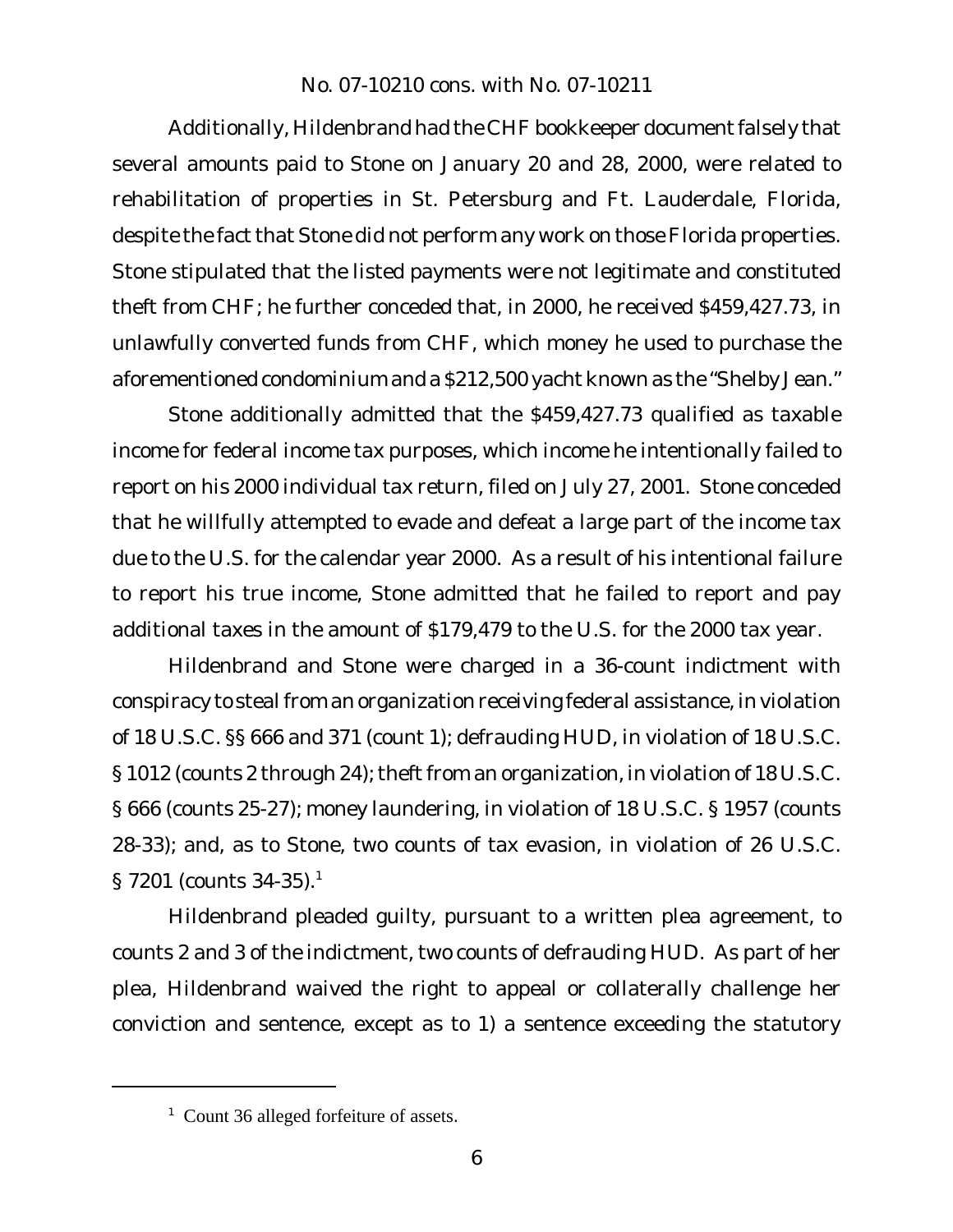Additionally, Hildenbrand had the CHF bookkeeper document falsely that several amounts paid to Stone on January 20 and 28, 2000, were related to rehabilitation of properties in St. Petersburg and Ft. Lauderdale, Florida, despite the fact that Stone did not perform any work on those Florida properties. Stone stipulated that the listed payments were not legitimate and constituted theft from CHF; he further conceded that, in 2000, he received \$459,427.73, in unlawfully converted funds from CHF, which money he used to purchase the aforementioned condominium and a \$212,500 yacht known as the "Shelby Jean."

Stone additionally admitted that the \$459,427.73 qualified as taxable income for federal income tax purposes, which income he intentionally failed to report on his 2000 individual tax return, filed on July 27, 2001. Stone conceded that he willfully attempted to evade and defeat a large part of the income tax due to the U.S. for the calendar year 2000. As a result of his intentional failure to report his true income, Stone admitted that he failed to report and pay additional taxes in the amount of \$179,479 to the U.S. for the 2000 tax year.

Hildenbrand and Stone were charged in a 36-count indictment with conspiracy to steal from an organization receiving federal assistance, in violation of 18 U.S.C. §§ 666 and 371 (count 1); defrauding HUD, in violation of 18 U.S.C. § 1012 (counts 2 through 24); theft from an organization, in violation of 18 U.S.C. § 666 (counts 25-27); money laundering, in violation of 18 U.S.C. § 1957 (counts 28-33); and, as to Stone, two counts of tax evasion, in violation of 26 U.S.C.  $\S$  7201 (counts 34-35).<sup>1</sup>

Hildenbrand pleaded guilty, pursuant to a written plea agreement, to counts 2 and 3 of the indictment, two counts of defrauding HUD. As part of her plea, Hildenbrand waived the right to appeal or collaterally challenge her conviction and sentence, except as to 1) a sentence exceeding the statutory

<sup>1</sup> Count 36 alleged forfeiture of assets.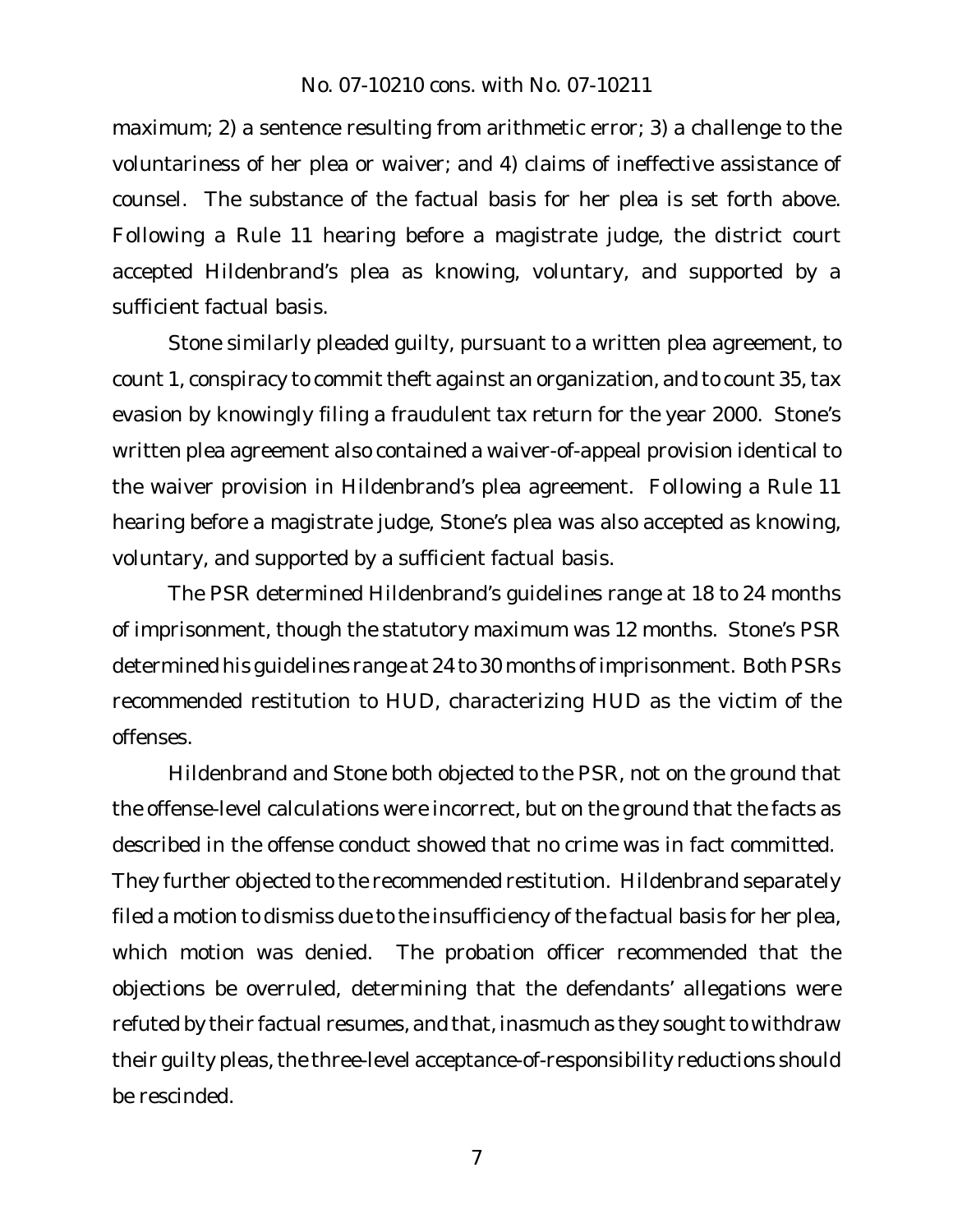maximum; 2) a sentence resulting from arithmetic error; 3) a challenge to the voluntariness of her plea or waiver; and 4) claims of ineffective assistance of counsel. The substance of the factual basis for her plea is set forth above. Following a Rule 11 hearing before a magistrate judge, the district court accepted Hildenbrand's plea as knowing, voluntary, and supported by a sufficient factual basis.

Stone similarly pleaded guilty, pursuant to a written plea agreement, to count 1, conspiracy to commit theft against an organization, and to count 35, tax evasion by knowingly filing a fraudulent tax return for the year 2000. Stone's written plea agreement also contained a waiver-of-appeal provision identical to the waiver provision in Hildenbrand's plea agreement. Following a Rule 11 hearing before a magistrate judge, Stone's plea was also accepted as knowing, voluntary, and supported by a sufficient factual basis.

The PSR determined Hildenbrand's guidelines range at 18 to 24 months of imprisonment, though the statutory maximum was 12 months. Stone's PSR determined his guidelines range at 24 to 30 months of imprisonment. Both PSRs recommended restitution to HUD, characterizing HUD as the victim of the offenses.

Hildenbrand and Stone both objected to the PSR, not on the ground that the offense-level calculations were incorrect, but on the ground that the facts as described in the offense conduct showed that no crime was in fact committed. They further objected to the recommended restitution. Hildenbrand separately filed a motion to dismiss due to the insufficiency of the factual basis for her plea, which motion was denied. The probation officer recommended that the objections be overruled, determining that the defendants' allegations were refuted by their factual resumes, and that, inasmuch as they sought to withdraw their quilty pleas, the three-level acceptance-of-responsibility reductions should be rescinded.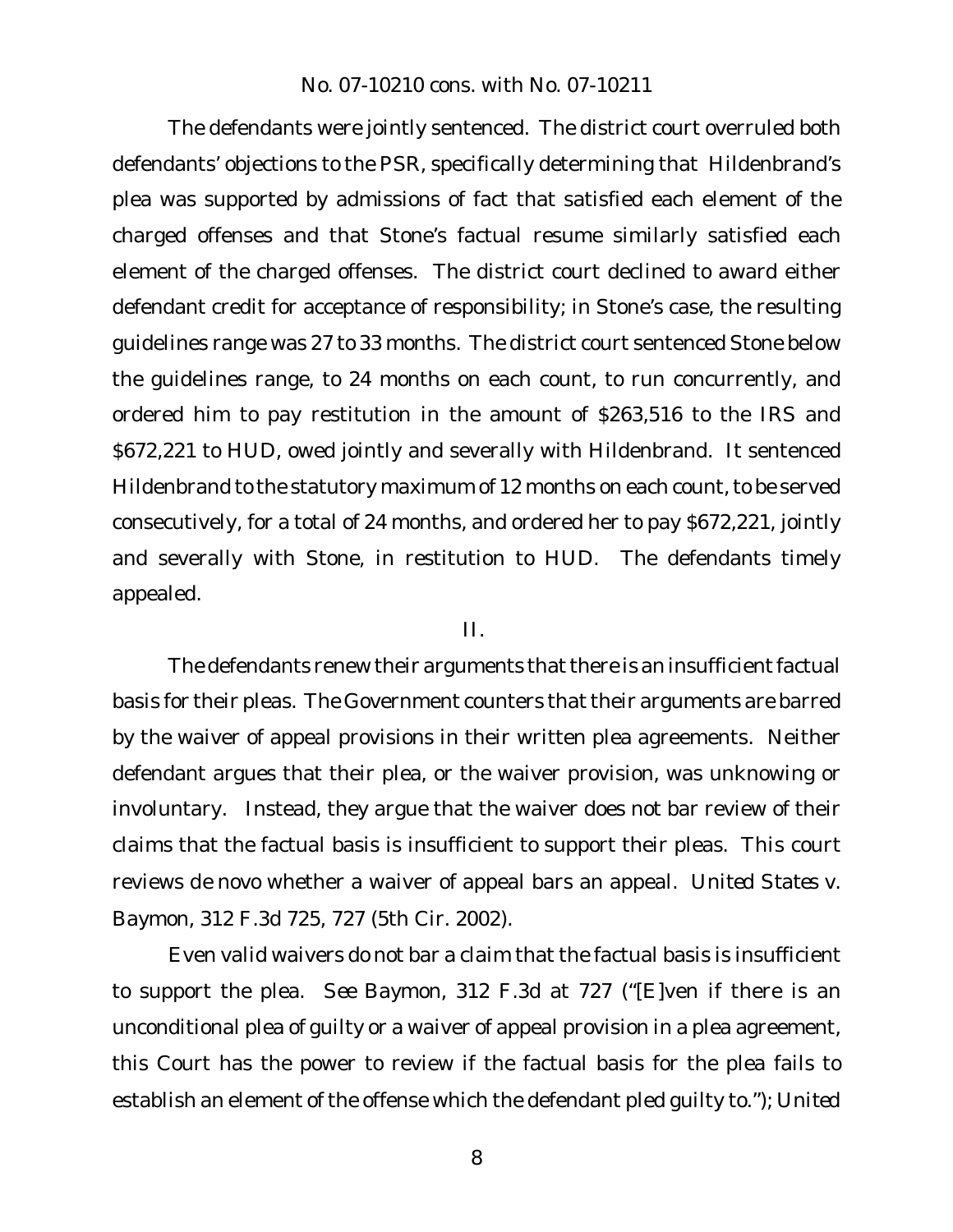The defendants were jointly sentenced. The district court overruled both defendants' objections to the PSR, specifically determining that Hildenbrand's plea was supported by admissions of fact that satisfied each element of the charged offenses and that Stone's factual resume similarly satisfied each element of the charged offenses. The district court declined to award either defendant credit for acceptance of responsibility; in Stone's case, the resulting guidelines range was 27 to 33 months. The district court sentenced Stone below the guidelines range, to 24 months on each count, to run concurrently, and ordered him to pay restitution in the amount of \$263,516 to the IRS and \$672,221 to HUD, owed jointly and severally with Hildenbrand. It sentenced Hildenbrand to the statutory maximum of 12 months on each count, to be served consecutively, for a total of 24 months, and ordered her to pay \$672,221, jointly and severally with Stone, in restitution to HUD. The defendants timely appealed.

II.

The defendants renew their arguments that there is an insufficient factual basis for their pleas. The Government counters that their arguments are barred by the waiver of appeal provisions in their written plea agreements. Neither defendant argues that their plea, or the waiver provision, was unknowing or involuntary. Instead, they argue that the waiver does not bar review of their claims that the factual basis is insufficient to support their pleas. This court reviews *de novo* whether a waiver of appeal bars an appeal. *United States v. Baymon*, 312 F.3d 725, 727 (5th Cir. 2002).

Even valid waivers do not bar a claim that the factual basis is insufficient to support the plea. *See Baymon*, 312 F.3d at 727 ("[E]ven if there is an unconditional plea of guilty or a waiver of appeal provision in a plea agreement, this Court has the power to review if the factual basis for the plea fails to establish an element of the offense which the defendant pled guilty to."); *United*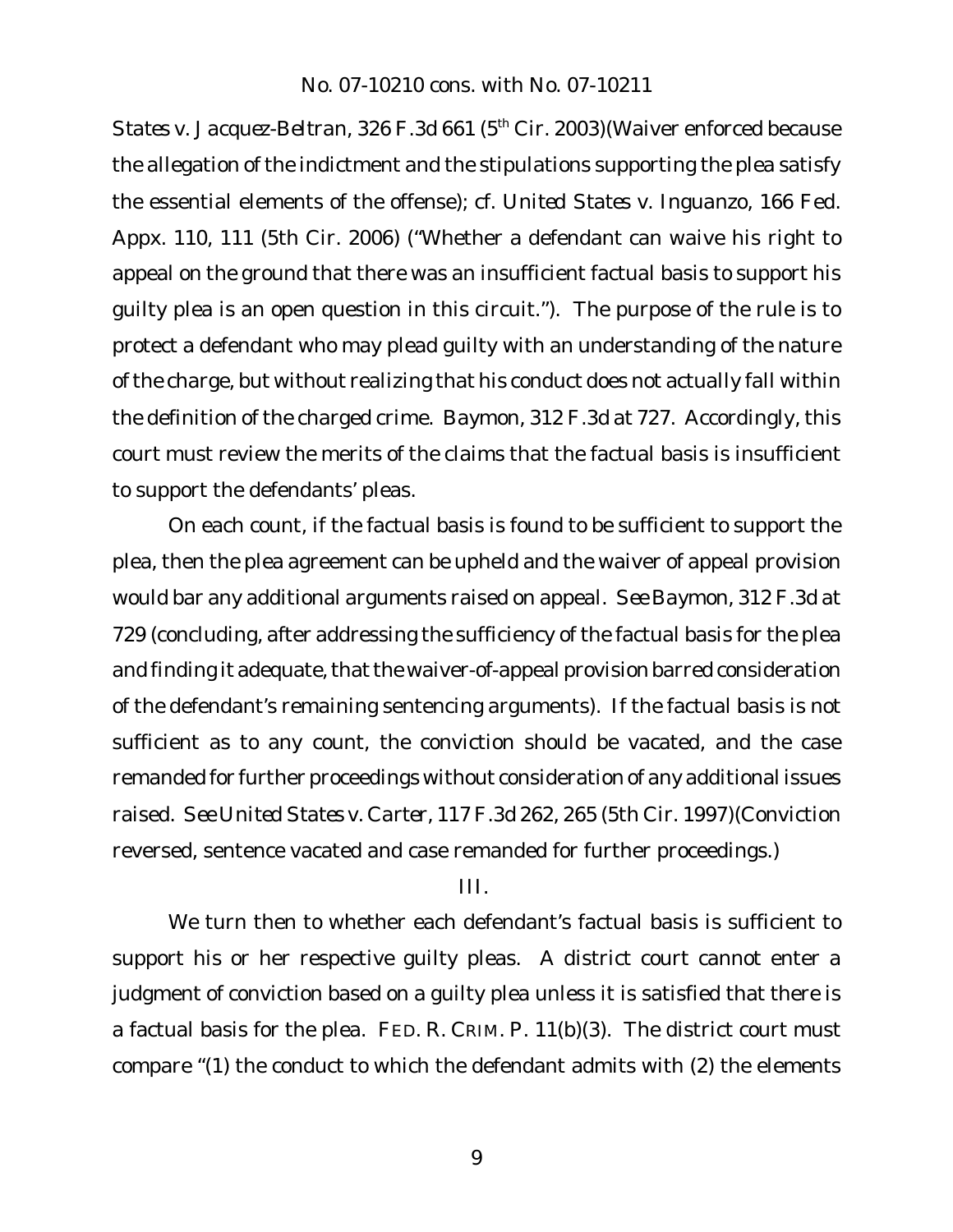*States v. Jacquez-Beltran*, 326 F.3d 661 (5th Cir. 2003)(Waiver enforced because the allegation of the indictment and the stipulations supporting the plea satisfy the essential elements of the offense); *cf. United States v. Inguanzo*, 166 Fed. Appx. 110, 111 (5th Cir. 2006) ("Whether a defendant can waive his right to appeal on the ground that there was an insufficient factual basis to support his guilty plea is an open question in this circuit."). The purpose of the rule is to protect a defendant who may plead guilty with an understanding of the nature ofthe charge, but without realizing that his conduct does not actually fall within the definition of the charged crime. *Baymon*, 312 F.3d at 727. Accordingly, this court must review the merits of the claims that the factual basis is insufficient to support the defendants' pleas.

On each count, if the factual basis is found to be sufficient to support the plea, then the plea agreement can be upheld and the waiver of appeal provision would bar any additional arguments raised on appeal. *See Baymon*, 312 F.3d at 729 (concluding, after addressing the sufficiency of the factual basis for the plea and finding it adequate, that the waiver-of-appeal provision barred consideration of the defendant's remaining sentencing arguments). If the factual basis is not sufficient as to any count, the conviction should be vacated, and the case remanded for further proceedings without consideration of any additional issues raised. *See United States v. Carter*, 117 F.3d 262, 265 (5th Cir. 1997)(Conviction reversed, sentence vacated and case remanded for further proceedings.)

## III.

We turn then to whether each defendant's factual basis is sufficient to support his or her respective guilty pleas. A district court cannot enter a judgment of conviction based on a guilty plea unless it is satisfied that there is a factual basis for the plea. FED. R. CRIM. P. 11(b)(3). The district court must compare "(1) the conduct to which the defendant admits with (2) the elements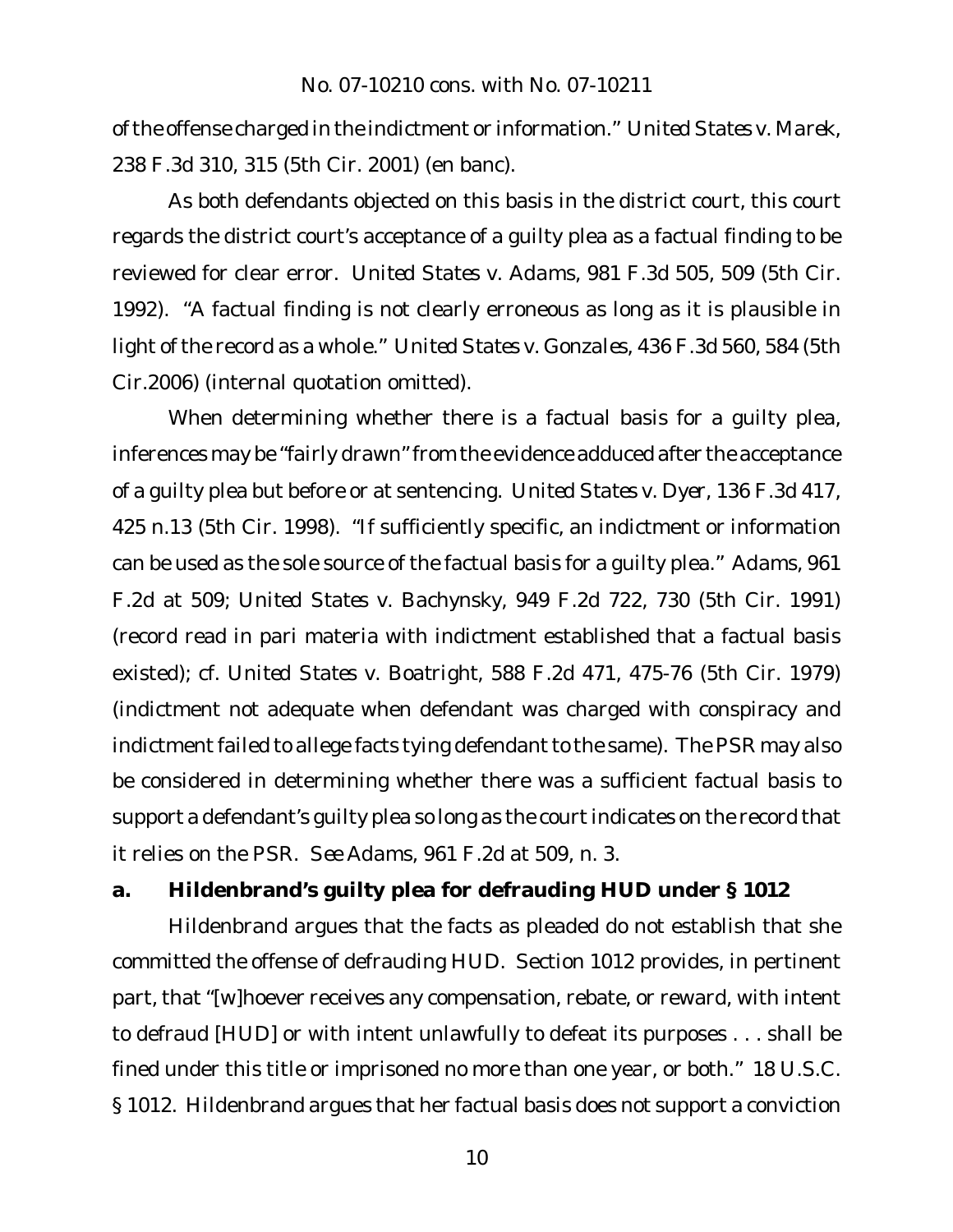ofthe offense charged in the indictment or information." *United States v. Marek*, 238 F.3d 310, 315 (5th Cir. 2001) (en banc).

As both defendants objected on this basis in the district court, this court regards the district court's acceptance of a guilty plea as a factual finding to be reviewed for clear error. *United States v. Adams*, 981 F.3d 505, 509 (5th Cir. 1992). "A factual finding is not clearly erroneous as long as it is plausible in light of the record as a whole." *United States v. Gonzales*, 436 F.3d 560, 584 (5th Cir.2006) (internal quotation omitted).

When determining whether there is a factual basis for a guilty plea, inferences may be "fairly drawn" from the evidence adduced after the acceptance of a guilty plea but before or at sentencing. *United States v. Dyer*, 136 F.3d 417, 425 n.13 (5th Cir. 1998). "If sufficiently specific, an indictment or information can be used as the sole source of the factual basis for a guilty plea." *Adams*, 961 F.2d at 509; *United States v. Bachynsky*, 949 F.2d 722, 730 (5th Cir. 1991) (record read in pari materia with indictment established that a factual basis existed); *cf. United States v. Boatright*, 588 F.2d 471, 475-76 (5th Cir. 1979) (indictment not adequate when defendant was charged with conspiracy and indictment failed to allege facts tying defendant to the same). The PSR may also be considered in determining whether there was a sufficient factual basis to support a defendant's quilty plea so long as the court indicates on the record that it relies on the PSR. *See Adams*, 961 F.2d at 509, n. 3.

**a. Hildenbrand's guilty plea for defrauding HUD under § 1012**

Hildenbrand argues that the facts as pleaded do not establish that she committed the offense of defrauding HUD. Section 1012 provides, in pertinent part, that "[w]hoever receives any compensation, rebate, or reward, with intent to defraud [HUD] or with intent unlawfully to defeat its purposes . . . shall be fined under this title or imprisoned no more than one year, or both." 18 U.S.C. § 1012. Hildenbrand argues that her factual basis does not support a conviction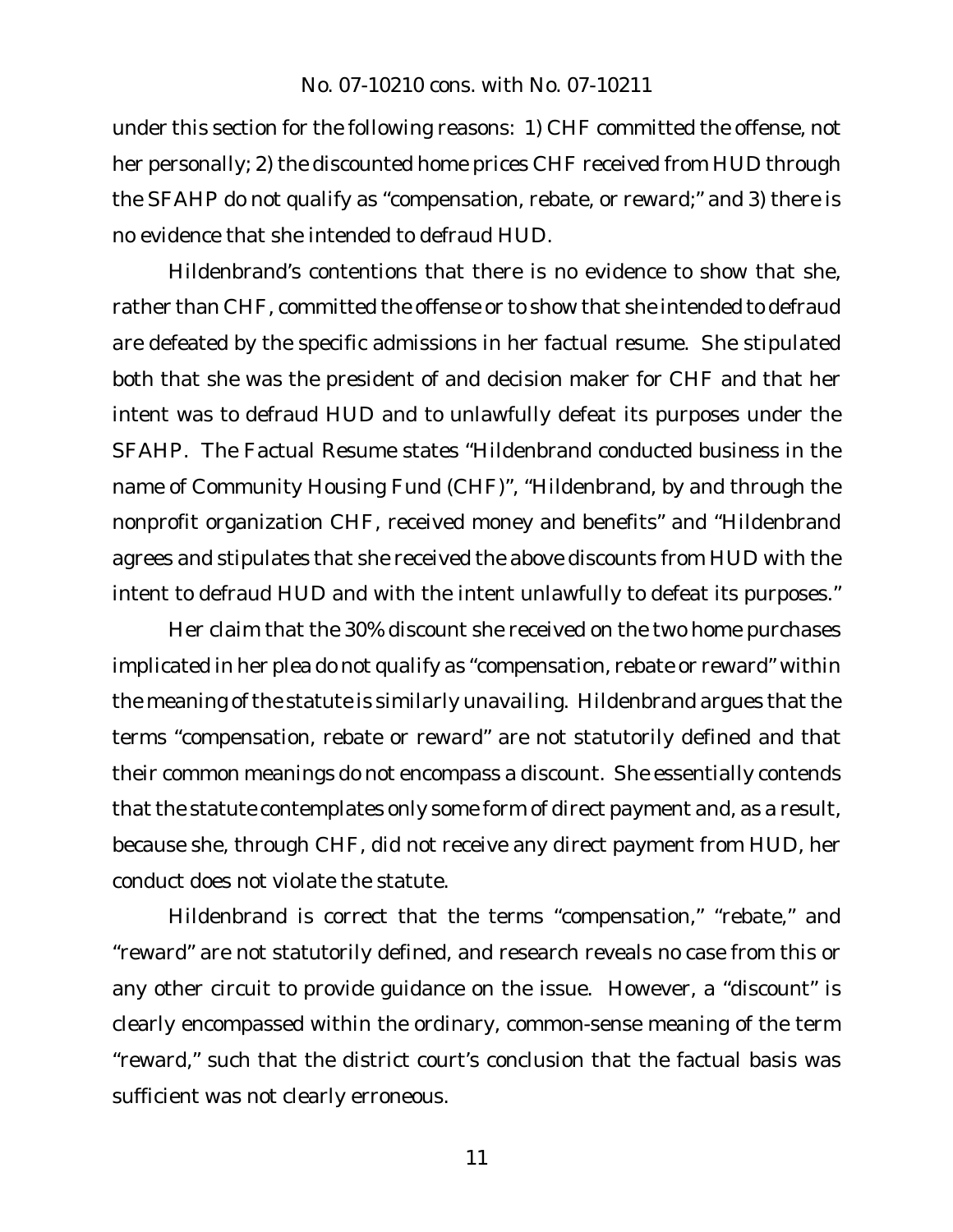under this section for the following reasons: 1) CHF committed the offense, not her personally; 2) the discounted home prices CHF received from HUD through the SFAHP do not qualify as "compensation, rebate, or reward;" and 3) there is no evidence that she intended to defraud HUD.

Hildenbrand's contentions that there is no evidence to show that she, rather than CHF, committed the offense or to show that she intended to defraud are defeated by the specific admissions in her factual resume. She stipulated both that she was the president of and decision maker for CHF and that her intent was to defraud HUD and to unlawfully defeat its purposes under the SFAHP. The Factual Resume states "Hildenbrand conducted business in the name of Community Housing Fund (CHF)", "Hildenbrand, by and through the nonprofit organization CHF, received money and benefits" and "Hildenbrand agrees and stipulates that she received the above discounts from HUD with the intent to defraud HUD and with the intent unlawfully to defeat its purposes."

Her claim that the 30% discount she received on the two home purchases implicated in her plea do not qualify as "compensation, rebate or reward" within the meaning of the statute is similarly unavailing. Hildenbrand argues that the terms "compensation, rebate or reward" are not statutorily defined and that their common meanings do not encompass a discount. She essentially contends that the statute contemplates only some form of direct payment and, as a result, because she, through CHF, did not receive any direct payment from HUD, her conduct does not violate the statute.

Hildenbrand is correct that the terms "compensation," "rebate," and "reward" are not statutorily defined, and research reveals no case from this or any other circuit to provide guidance on the issue. However, a "discount" is clearly encompassed within the ordinary, common-sense meaning of the term "reward," such that the district court's conclusion that the factual basis was sufficient was not clearly erroneous.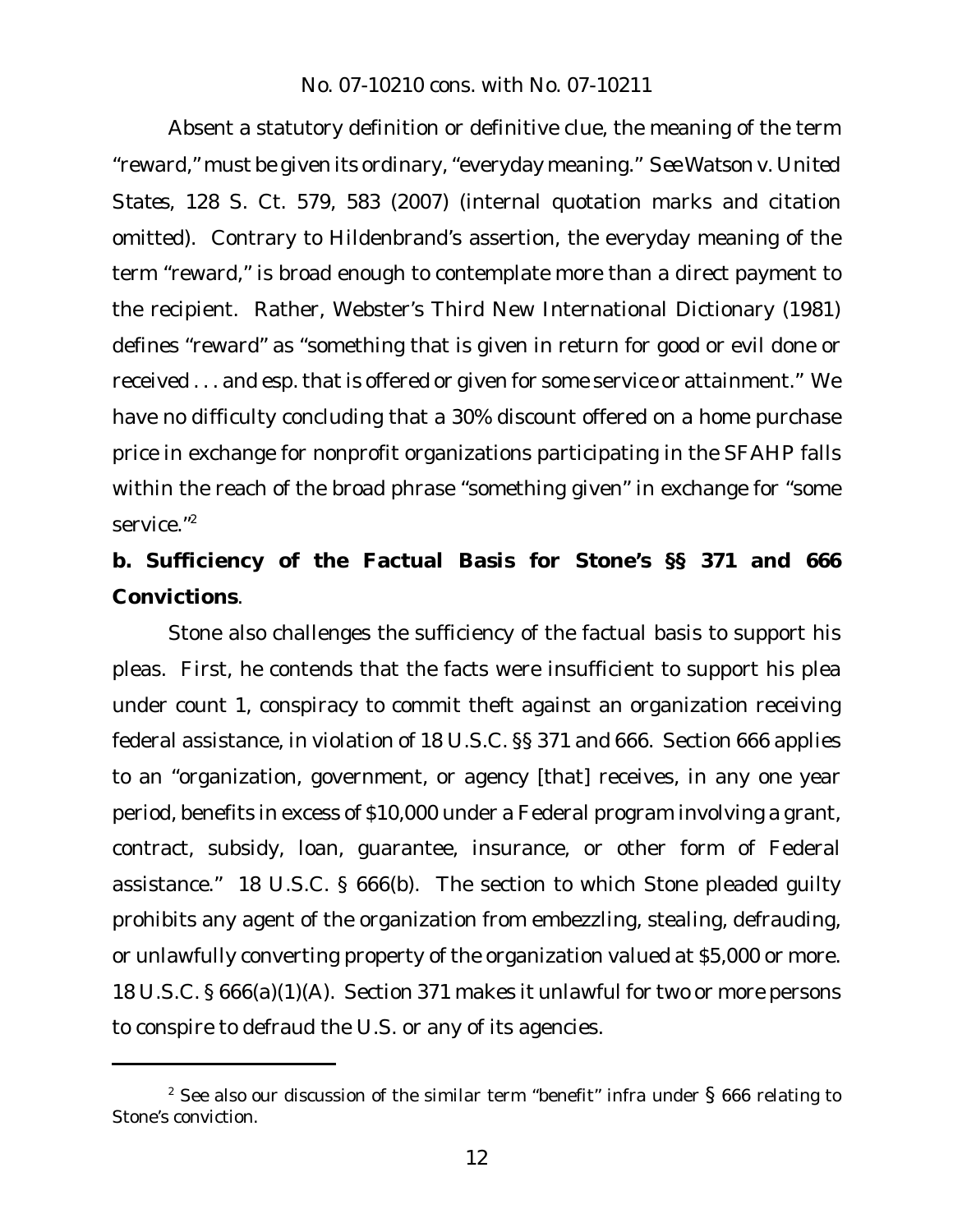Absent a statutory definition or definitive clue, the meaning of the term "reward," must be given its ordinary,"everyday meaning." *See Watson v. United States*, 128 S. Ct. 579, 583 (2007) (internal quotation marks and citation omitted). Contrary to Hildenbrand's assertion, the everyday meaning of the term "reward," is broad enough to contemplate more than a direct payment to the recipient. Rather, Webster's Third New International Dictionary (1981) defines "reward" as "something that is given in return for good or evil done or received . . . and esp. that is offered or given for some service or attainment." We have no difficulty concluding that a 30% discount offered on a home purchase price in exchange for nonprofit organizations participating in the SFAHP falls within the reach of the broad phrase "something given" in exchange for "some service."<sup>2</sup>

**b. Sufficiency of the Factual Basis for Stone's §§ 371 and 666 Convictions**.

Stone also challenges the sufficiency of the factual basis to support his pleas. First, he contends that the facts were insufficient to support his plea under count 1, conspiracy to commit theft against an organization receiving federal assistance, in violation of 18 U.S.C. §§ 371 and 666. Section 666 applies to an "organization, government, or agency [that] receives, in any one year period, benefits in excess of \$10,000 under a Federal program involving a grant, contract, subsidy, loan, guarantee, insurance, or other form of Federal assistance." 18 U.S.C. § 666(b). The section to which Stone pleaded guilty prohibits any agent of the organization from embezzling, stealing, defrauding, or unlawfully converting property of the organization valued at \$5,000 or more. 18 U.S.C. § 666(a)(1)(A). Section 371 makes it unlawful for two or more persons to conspire to defraud the U.S. or any of its agencies.

<sup>&</sup>lt;sup>2</sup> See also our discussion of the similar term "benefit" infra under  $\S$  666 relating to Stone's conviction.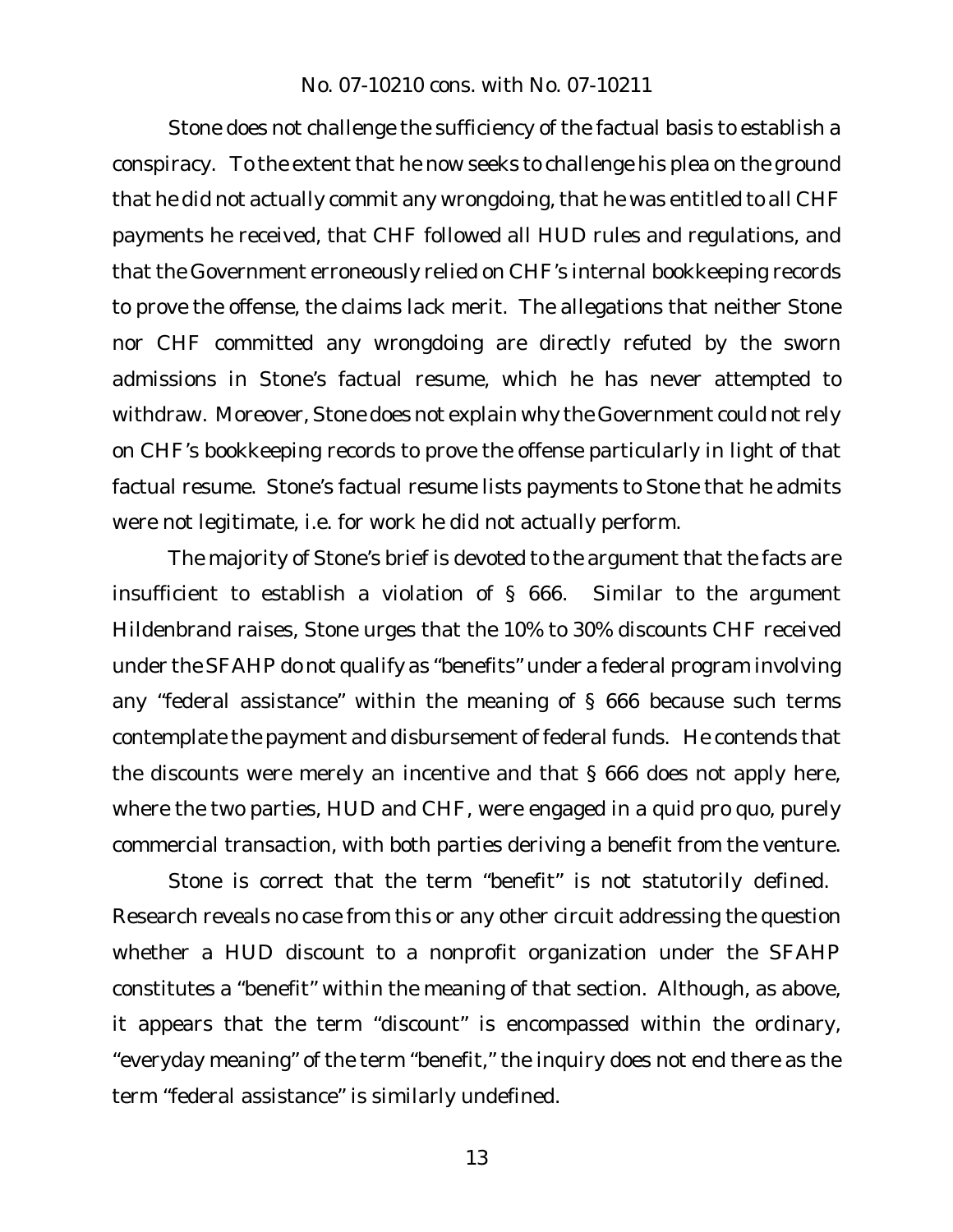Stone does not challenge the sufficiency of the factual basis to establish a conspiracy. To the extent that he now seeks to challenge his plea on the ground that he did not actually commit any wrongdoing, that he was entitled to all CHF payments he received, that CHF followed all HUD rules and regulations, and that the Government erroneously relied on CHF's internal bookkeeping records to prove the offense, the claims lack merit. The allegations that neither Stone nor CHF committed any wrongdoing are directly refuted by the sworn admissions in Stone's factual resume, which he has never attempted to withdraw. Moreover, Stone does not explain why the Government could not rely on CHF's bookkeeping records to prove the offense particularly in light of that factual resume. Stone's factual resume lists payments to Stone that he admits were not legitimate, i.e. for work he did not actually perform.

The majority of Stone's brief is devoted to the argument that the facts are insufficient to establish a violation of § 666. Similar to the argument Hildenbrand raises, Stone urges that the 10% to 30% discounts CHF received under the SFAHP do not qualify as "benefits" under a federal program involving any "federal assistance" within the meaning of § 666 because such terms contemplate the payment and disbursement of federal funds. He contends that the discounts were merely an incentive and that § 666 does not apply here, where the two parties, HUD and CHF, were engaged in a quid pro quo, purely commercial transaction, with both parties deriving a benefit from the venture.

Stone is correct that the term "benefit" is not statutorily defined. Research reveals no case from this or any other circuit addressing the question whether a HUD discount to a nonprofit organization under the SFAHP constitutes a "benefit" within the meaning of that section. Although, as above, it appears that the term "discount" is encompassed within the ordinary, "everyday meaning" of the term "benefit," the inquiry does not end there as the term "federal assistance" is similarly undefined.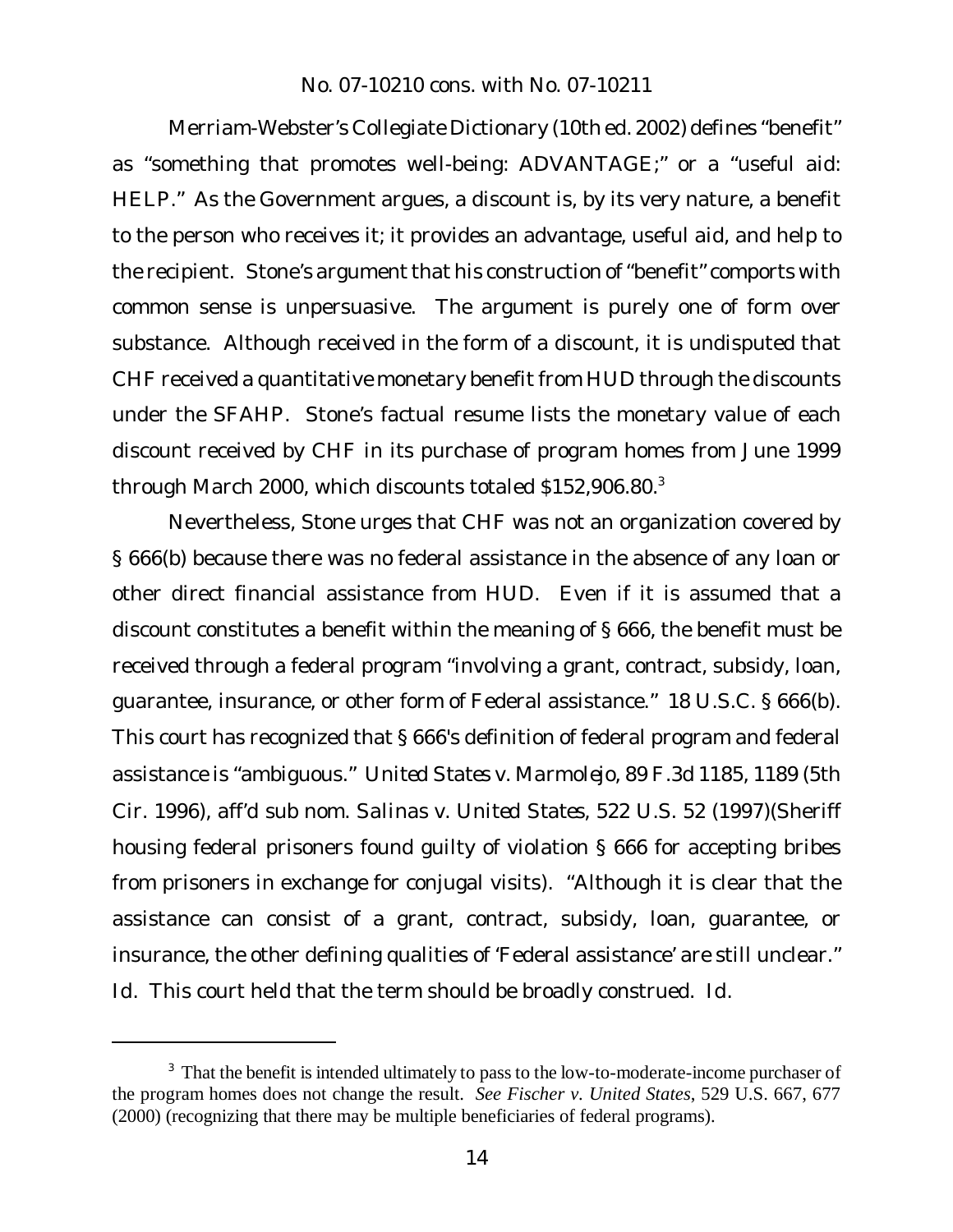Merriam-Webster's Collegiate Dictionary (10th ed. 2002) defines "benefit" as "something that promotes well-being: ADVANTAGE;" or a "useful aid: HELP." As the Government argues, a discount is, by its very nature, a benefit to the person who receives it; it provides an advantage, useful aid, and help to the recipient. Stone's argument that his construction of "benefit" comports with common sense is unpersuasive. The argument is purely one of form over substance. Although received in the form of a discount, it is undisputed that CHF received a quantitative monetary benefit from HUD through the discounts under the SFAHP. Stone's factual resume lists the monetary value of each discount received by CHF in its purchase of program homes from June 1999 through March 2000, which discounts totaled \$152,906.80.<sup>3</sup>

Nevertheless, Stone urges that CHF was not an organization covered by § 666(b) because there was no federal assistance in the absence of any loan or other direct financial assistance from HUD. Even if it is assumed that a discount constitutes a benefit within the meaning of § 666, the benefit must be received through a federal program "involving a grant, contract, subsidy, loan, guarantee, insurance, or other form of Federal assistance." 18 U.S.C. § 666(b). This court has recognized that § 666's definition of federal program and federal assistance is "ambiguous." *United States v. Marmolejo*, 89 F.3d 1185, 1189 (5th Cir. 1996), *aff'd sub nom. Salinas v. United States*, 522 U.S. 52 (1997)(Sheriff housing federal prisoners found guilty of violation § 666 for accepting bribes from prisoners in exchange for conjugal visits). "Although it is clear that the assistance can consist of a grant, contract, subsidy, loan, guarantee, or insurance, the other defining qualities of 'Federal assistance' are still unclear." *Id.* This court held that the term should be broadly construed. *Id.*

<sup>&</sup>lt;sup>3</sup> That the benefit is intended ultimately to pass to the low-to-moderate-income purchaser of the program homes does not change the result. *See Fischer v. United States*, 529 U.S. 667, 677 (2000) (recognizing that there may be multiple beneficiaries of federal programs).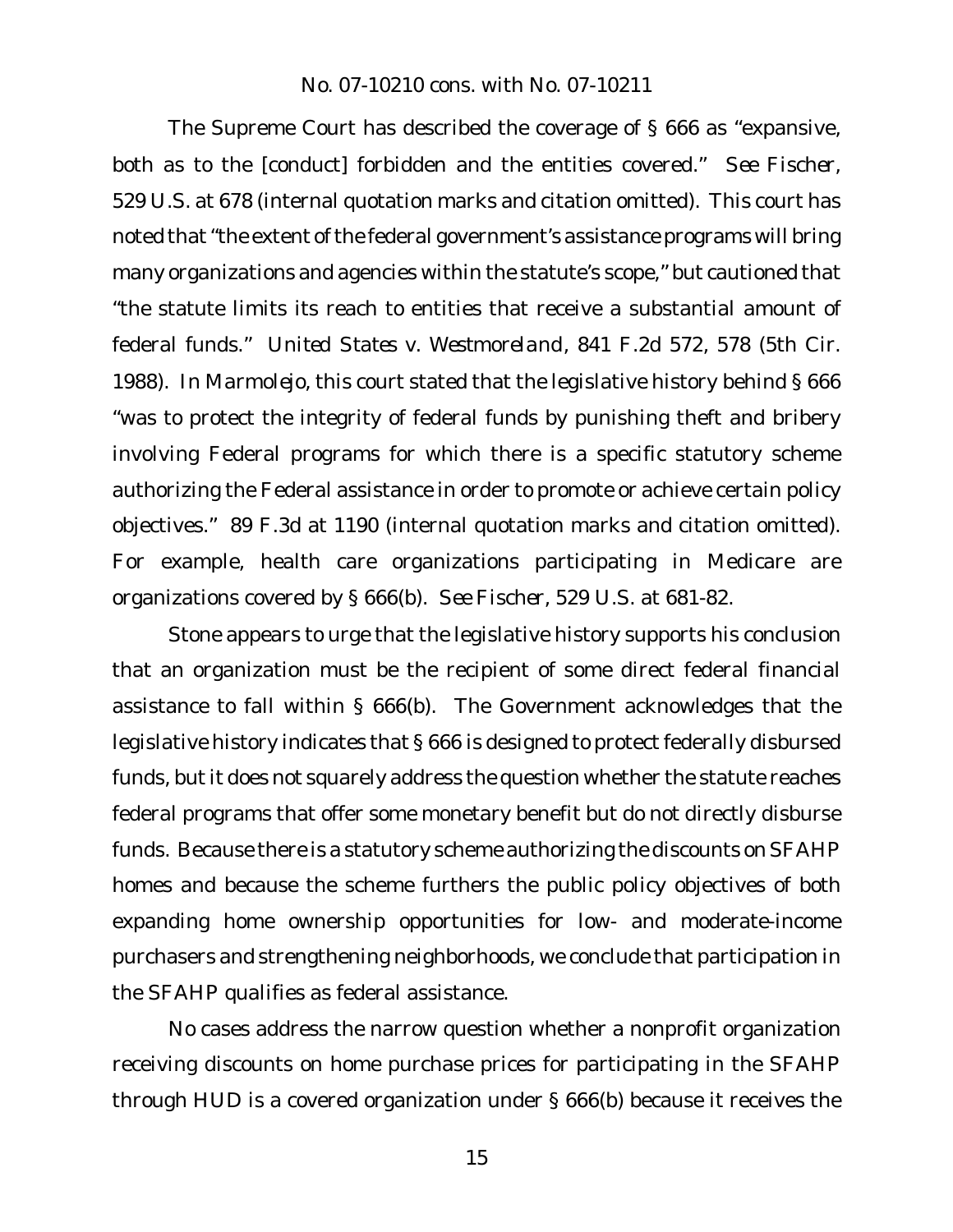The Supreme Court has described the coverage of § 666 as "expansive, both as to the [conduct] forbidden and the entities covered." *See Fischer*, 529 U.S. at 678 (internal quotation marks and citation omitted). This court has noted that "the extent of the federal government's assistance programs will bring many organizations and agencies within the statute's scope," but cautioned that "the statute limits its reach to entities that receive a substantial amount of federal funds." *United States v. Westmoreland*, 841 F.2d 572, 578 (5th Cir. 1988). In *Marmolejo*, this court stated that the legislative history behind § 666 "was to protect the integrity of federal funds by punishing theft and bribery involving Federal programs for which there is a specific statutory scheme authorizing the Federal assistance in order to promote or achieve certain policy objectives." 89 F.3d at 1190 (internal quotation marks and citation omitted). For example, health care organizations participating in Medicare are organizations covered by § 666(b). *See Fischer*, 529 U.S. at 681-82.

Stone appears to urge that the legislative history supports his conclusion that an organization must be the recipient of some direct federal financial assistance to fall within § 666(b). The Government acknowledges that the legislative history indicates that § 666 is designed to protect federally disbursed funds, but it does not squarely address the question whether the statute reaches federal programs that offer some monetary benefit but do not directly disburse funds. Because there is a statutory scheme authorizing the discounts on SFAHP homes and because the scheme furthers the public policy objectives of both expanding home ownership opportunities for low- and moderate-income purchasers and strengthening neighborhoods, we conclude that participation in the SFAHP qualifies as federal assistance.

No cases address the narrow question whether a nonprofit organization receiving discounts on home purchase prices for participating in the SFAHP through HUD is a covered organization under § 666(b) because it receives the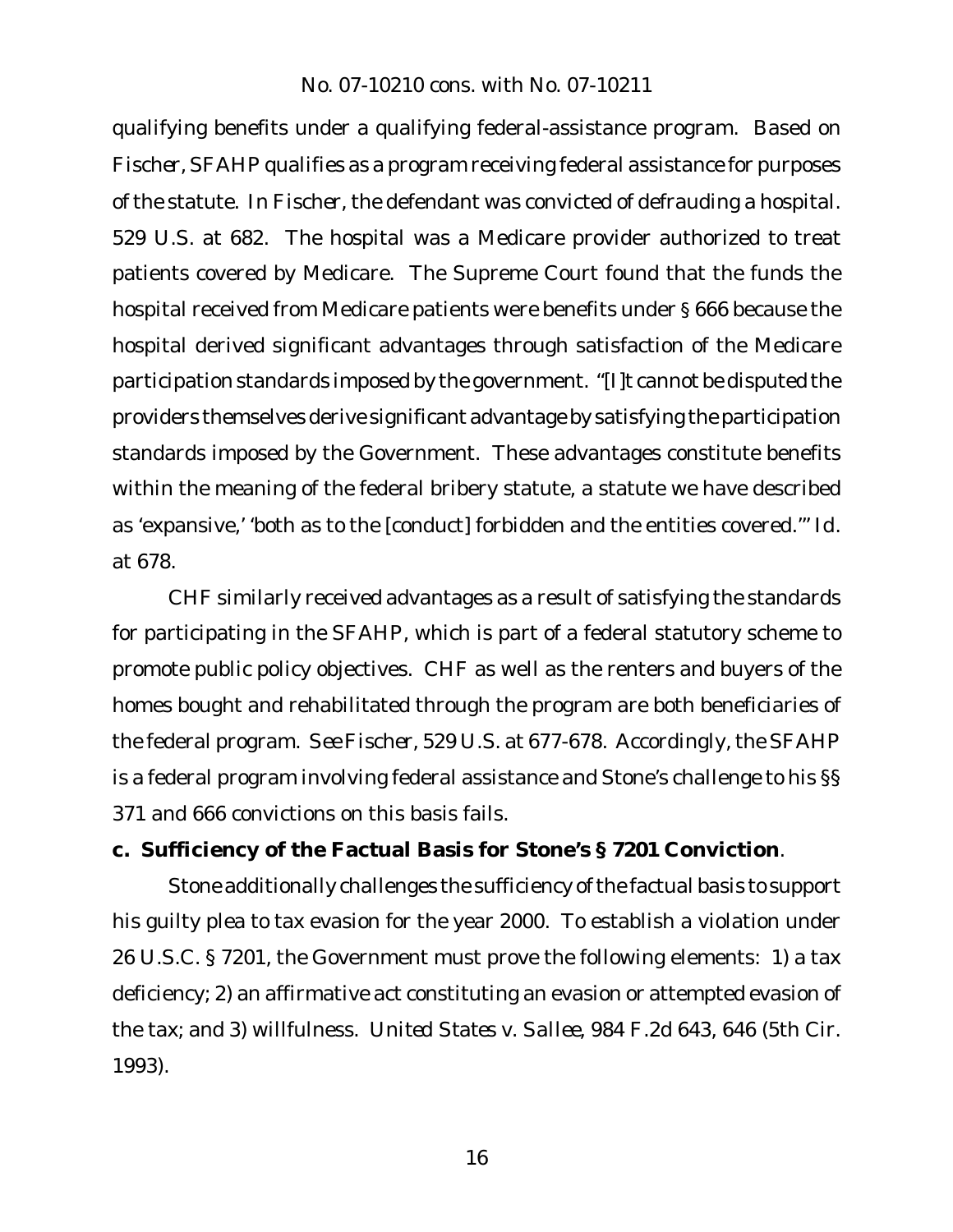qualifying benefits under a qualifying federal-assistance program. Based on *Fischer*, SFAHP qualifies as a program receiving federal assistance for purposes of the statute. In *Fischer*, the defendant was convicted of defrauding a hospital. 529 U.S. at 682. The hospital was a Medicare provider authorized to treat patients covered by Medicare. The Supreme Court found that the funds the hospital received from Medicare patients were benefits under § 666 because the hospital derived significant advantages through satisfaction of the Medicare participation standards imposed by the government. "[I]t cannot be disputed the providers themselves derive significant advantage by satisfying the participation standards imposed by the Government. These advantages constitute benefits within the meaning of the federal bribery statute, a statute we have described as 'expansive,' 'both as to the [conduct] forbidden and the entities covered.'" *Id.* at 678.

CHF similarly received advantages as a result of satisfying the standards for participating in the SFAHP, which is part of a federal statutory scheme to promote public policy objectives. CHF as well as the renters and buyers of the homes bought and rehabilitated through the program are both beneficiaries of the federal program. *See Fischer*, 529 U.S. at 677-678. Accordingly, the SFAHP is a federal program involving federal assistance and Stone's challenge to his §§ 371 and 666 convictions on this basis fails.

**c. Sufficiency of the Factual Basis for Stone's § 7201 Conviction**.

Stone additionally challenges the sufficiency of the factual basis to support his guilty plea to tax evasion for the year 2000. To establish a violation under 26 U.S.C. § 7201, the Government must prove the following elements: 1) a tax deficiency; 2) an affirmative act constituting an evasion or attempted evasion of the tax; and 3) willfulness. *United States v. Sallee*, 984 F.2d 643, 646 (5th Cir. 1993).